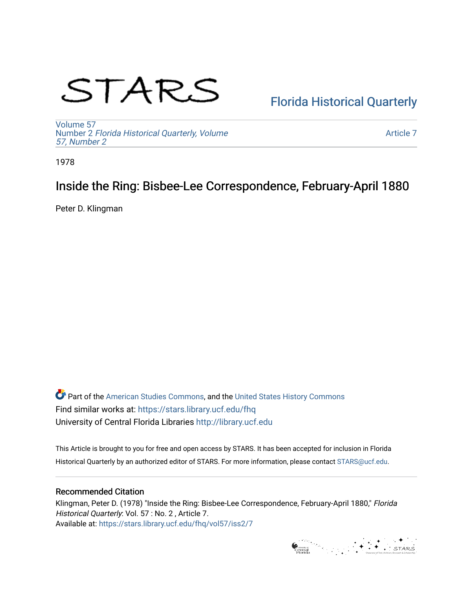# STARS

# [Florida Historical Quarterly](https://stars.library.ucf.edu/fhq)

[Volume 57](https://stars.library.ucf.edu/fhq/vol57) Number 2 [Florida Historical Quarterly, Volume](https://stars.library.ucf.edu/fhq/vol57/iss2)  [57, Number 2](https://stars.library.ucf.edu/fhq/vol57/iss2)

[Article 7](https://stars.library.ucf.edu/fhq/vol57/iss2/7) 

1978

# Inside the Ring: Bisbee-Lee Correspondence, February-April 1880

Peter D. Klingman

**C** Part of the [American Studies Commons](http://network.bepress.com/hgg/discipline/439?utm_source=stars.library.ucf.edu%2Ffhq%2Fvol57%2Fiss2%2F7&utm_medium=PDF&utm_campaign=PDFCoverPages), and the United States History Commons Find similar works at: <https://stars.library.ucf.edu/fhq> University of Central Florida Libraries [http://library.ucf.edu](http://library.ucf.edu/) 

This Article is brought to you for free and open access by STARS. It has been accepted for inclusion in Florida Historical Quarterly by an authorized editor of STARS. For more information, please contact [STARS@ucf.edu.](mailto:STARS@ucf.edu)

# Recommended Citation

Klingman, Peter D. (1978) "Inside the Ring: Bisbee-Lee Correspondence, February-April 1880," Florida Historical Quarterly: Vol. 57 : No. 2 , Article 7. Available at: [https://stars.library.ucf.edu/fhq/vol57/iss2/7](https://stars.library.ucf.edu/fhq/vol57/iss2/7?utm_source=stars.library.ucf.edu%2Ffhq%2Fvol57%2Fiss2%2F7&utm_medium=PDF&utm_campaign=PDFCoverPages) 

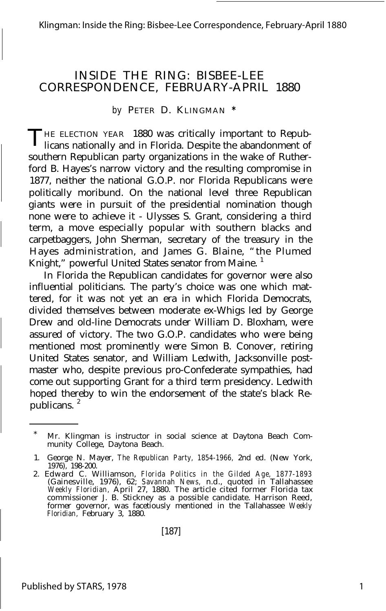# INSIDE THE RING: BISBEE-LEE CORRESPONDENCE, FEBRUARY-APRIL 1880

#### *by* PETER D. KLINGMAN *\**

THE ELECTION YEAR 1880 was critically important to Repub-<br>licans nationally and in Florida. Despite the abandonment of licans nationally and in Florida. Despite the abandonment of southern Republican party organizations in the wake of Rutherford B. Hayes's narrow victory and the resulting compromise in 1877, neither the national G.O.P. nor Florida Republicans were politically moribund. On the national level three Republican giants were in pursuit of the presidential nomination though none were to achieve it - Ulysses S. Grant, considering a third term, a move especially popular with southern blacks and carpetbaggers, John Sherman, secretary of the treasury in the Hayes administration, and James G. Blaine, "the Plumed Knight," powerful United States senator from Maine.<sup>1</sup>

In Florida the Republican candidates for governor were also influential politicians. The party's choice was one which mattered, for it was not yet an era in which Florida Democrats, divided themselves between moderate ex-Whigs led by George Drew and old-line Democrats under William D. Bloxham, were assured of victory. The two G.O.P. candidates who were being mentioned most prominently were Simon B. Conover, retiring United States senator, and William Ledwith, Jacksonville postmaster who, despite previous pro-Confederate sympathies, had come out supporting Grant for a third term presidency. Ledwith hoped thereby to win the endorsement of the state's black Republicans.<sup>2</sup>

Mr. Klingman is instructor in social science at Daytona Beach Community College, Daytona Beach.

<sup>1.</sup> George N. Mayer, *The Republican Party, 1854-1966,* 2nd ed. (New York, 1976), 198-200.

<sup>2.</sup> Edward C. Williamson, *Florida Politics in the Gilded Age, 1877-1893* (Gainesville, 1976), 62; *Savannah News,* n.d., quoted in Tallahassee *Weekly Floridian,* April 27, 1880. The article cited former Florida tax commissioner J. B. Stickney as a possible candidate. Harrison Reed, former governor, was facetiously mentioned in the Tallahassee *Weekly Floridian,* February 3, 1880.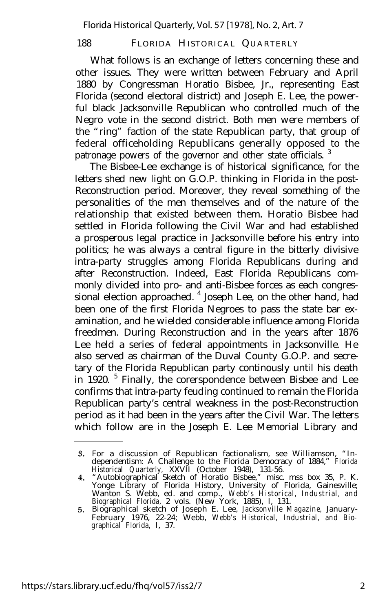What follows is an exchange of letters concerning these and other issues. They were written between February and April 1880 by Congressman Horatio Bisbee, Jr., representing East Florida (second electoral district) and Joseph E. Lee, the powerful black Jacksonville Republican who controlled much of the Negro vote in the second district. Both men were members of the "ring" faction of the state Republican party, that group of federal officeholding Republicans generally opposed to the patronage powers of the governor and other state officials.<sup>3</sup>

The Bisbee-Lee exchange is of historical significance, for the letters shed new light on G.O.P. thinking in Florida in the post-Reconstruction period. Moreover, they reveal something of the personalities of the men themselves and of the nature of the relationship that existed between them. Horatio Bisbee had settled in Florida following the Civil War and had established a prosperous legal practice in Jacksonville before his entry into politics; he was always a central figure in the bitterly divisive intra-party struggles among Florida Republicans during and after Reconstruction. Indeed, East Florida Republicans commonly divided into pro- and anti-Bisbee forces as each congressional election approached. <sup>4</sup> Joseph Lee, on the other hand, had been one of the first Florida Negroes to pass the state bar examination, and he wielded considerable influence among Florida freedmen. During Reconstruction and in the years after 1876 Lee held a series of federal appointments in Jacksonville. He also served as chairman of the Duval County G.O.P. and secretary of the Florida Republican party continously until his death in 1920.<sup>5</sup> Finally, the corerspondence between Bisbee and Lee confirms that intra-party feuding continued to remain the Florida Republican party's central weakness in the post-Reconstruction period as it had been in the years after the Civil War. The letters which follow are in the Joseph E. Lee Memorial Library and

For a discussion of Republican factionalism, see Williamson, "In-dependentism: A Challenge to the Florida Democracy of 1884," *Florida Historical Quarterly,* XXVII (October 1948), 131-56.

<sup>&</sup>quot;Autobiographical Sketch of Horatio Bisbee," misc. mss box 35, P. K. Yonge Library of Florida History, University of Florida, Gainesville; Wanton S. Webb, ed. and comp., *Webb's Historical, Industrial, and Biographical Florida,* 2 vols. (New York, 1885), I, 131. Biographical sketch of Joseph E. Lee, *Jacksonville Magazine,* January-

February 1976, 22-24; Webb, *Webb's Historical, Industrial, and Bio-graphical Florida,* I, 37.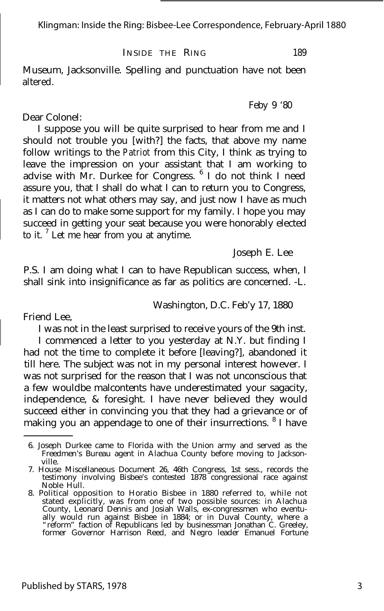## INSIDE THE RING 189

Museum, Jacksonville. Spelling and punctuation have not been altered.

Dear Colonel:

I suppose you will be quite surprised to hear from me and I should not trouble you [with?] the facts, that above my name follow writings to the *Patriot* from this City, I think as trying to leave the impression on your assistant that I am working to advise with Mr. Durkee for Congress. <sup>6</sup> I do not think I need assure you, that I shall do what I can to return you to Congress, it matters not what others may say, and just now I have as much as I can do to make some support for my family. I hope you may succeed in getting your seat because you were honorably elected to it.<sup>7</sup> Let me hear from you at anytime.

Joseph E. Lee

Feby 9 '80

P.S. I am doing what I can to have Republican success, when, I shall sink into insignificance as far as politics are concerned. -L.

Washington, D.C. Feb'y 17, 1880

Friend Lee,

I was not in the least surprised to receive yours of the 9th inst.

I commenced a letter to you yesterday at N.Y. but finding I had not the time to complete it before [leaving?], abandoned it till here. The subject was not in my personal interest however. I was not surprised for the reason that I was not unconscious that a few wouldbe malcontents have underestimated your sagacity, independence, & foresight. I have never believed they would succeed either in convincing you that they had a grievance or of making you an appendage to one of their insurrections. <sup>8</sup> I have

<sup>6.</sup> Joseph Durkee came to Florida with the Union army and served as the Freedmen's Bureau agent in Alachua County before moving to Jacksonville.

<sup>7.</sup> House Miscellaneous Document 26, 46th Congress, 1st sess., records the testimony involving Bisbee's contested 1878 congressional race against Noble Hull.

<sup>8.</sup> Political opposition to Horatio Bisbee in 1880 referred to, while not stated explicitly, was from one of two possible sources: in Alachua County, Leonard Dennis and Josiah Walls, ex-congressmen who eventu-ally would run against Bisbee in 1884; or in Duval County, where a "reform" faction of Republicans led by businessman Jonathan C. Greeley, former Governor Harrison Reed, and Negro leader Emanuel Fortune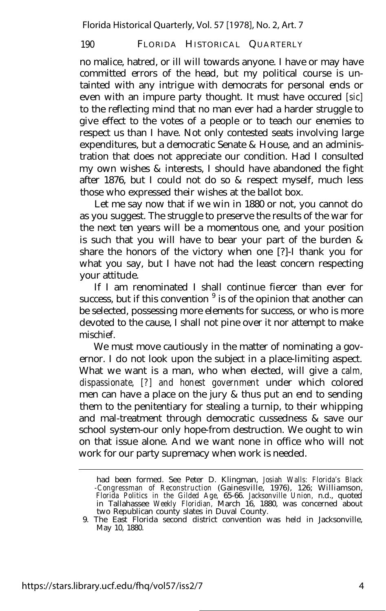no malice, hatred, or ill will towards anyone. I have or may have committed errors of the head, but my political course is untainted with any intrigue with democrats for personal ends or even with an impure party thought. It must have occured *[sic]* to the reflecting mind that no man ever had a harder struggle to give effect to the votes of a people or to teach our enemies to respect us than I have. Not only contested seats involving large expenditures, but a democratic Senate & House, and an administration that does not appreciate our condition. Had I consulted my own wishes & interests, I should have abandoned the fight after 1876, but I could not do so & respect myself, much less those who expressed their wishes at the ballot box.

Let me say now that if we win in 1880 or not, you cannot do as you suggest. The struggle to preserve the results of the war for the next ten years will be a momentous one, and your position is such that you will have to bear your part of the burden & share the honors of the victory when one [?]-I thank you for what you say, but I have not had the least concern respecting your attitude.

If I am renominated I shall continue fiercer than ever for success, but if this convention  $^{9}$  is of the opinion that another can be selected, possessing more elements for success, or who is more devoted to the cause, I shall not pine over it nor attempt to make mischief.

We must move cautiously in the matter of nominating a governor. I do not look upon the subject in a place-limiting aspect. What we want is a man, who when elected, will give a *calm, dispassionate, [?] and honest government* under which colored men can have a place on the jury & thus put an end to sending them to the penitentiary for stealing a turnip, to their whipping and mal-treatment through democratic cussedness & save our school system-our only hope-from destruction. We ought to win on that issue alone. And we want none in office who will not work for our party supremacy when work is needed.

had been formed. See Peter D. Klingman, *Josiah Walls: Florida's Black -Congressman of Reconstruction* (Gainesville, 1976), 126; Williamson, *Florida Politics in the Gilded Age,* 65-66. *Jacksonville Union,* n.d., quoted in Tallahassee *Weekly Floridian,* March 16, 1880, was concerned about two Republican county slates in Duval County.

<sup>9.</sup> The East Florida second district convention was held in Jacksonville, May 10, 1880.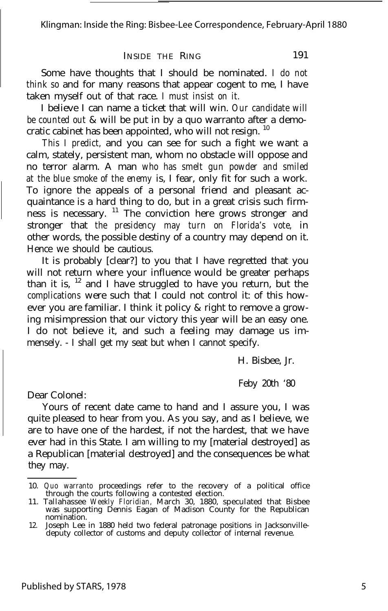Some have thoughts that I should be nominated. *I do not think so* and for many reasons that appear cogent to me, I have taken myself out of that race. *I must insist on it.*

I believe I can name a ticket that will win. *Our candidate will be counted out* & will be put in by a quo warranto after a democratic cabinet has been appointed, who will not resign. <sup>10</sup>

*This I predict,* and you can see for such a fight we want a calm, stately, persistent man, whom no obstacle will oppose and no terror alarm. A man *who has smelt gun powder and smiled at the blue smoke of the enemy* is, I fear, only fit for such a work. To ignore the appeals of a personal friend and pleasant acquaintance is a hard thing to do, but in a great crisis such firmness is necessary.  $11$  The conviction here grows stronger and stronger that *the presidency may turn on Florida's vote,* in other words, the possible destiny of a country may depend on it. Hence we should be cautious.

It is probably [clear?] to you that I have regretted that you will not return where your influence would be greater perhaps than it is,  $12$  and I have struggled to have you return, but the *complications* were such that I could not control it: of this however you are familiar. I think it policy & right to remove a growing misimpression that our victory this year will be an easy one. I do not believe it, and such a feeling may damage us immensely. - I shall get my seat but when I cannot specify.

H. Bisbee, Jr.

Feby 20th '80

Dear Colonel:

Yours of recent date came to hand and I assure you, I was quite pleased to hear from you. As you say, and as I believe, we are to have one of the hardest, if not the hardest, that we have ever had in this State. I am willing to my [material destroyed] as a Republican [material destroyed] and the consequences be what they may.

<sup>10.</sup> *Quo warranto* proceedings refer to the recovery of a political office through the courts following a contested election.

<sup>11.</sup> Tallahassee *Weekly Floridian,* March 30, 1880, speculated that Bisbee was supporting Dennis Eagan of Madison County for the Republican nomination.

<sup>12.</sup> Joseph Lee in 1880 held two federal patronage positions in Jacksonvilledeputy collector of customs and deputy collector of internal revenue.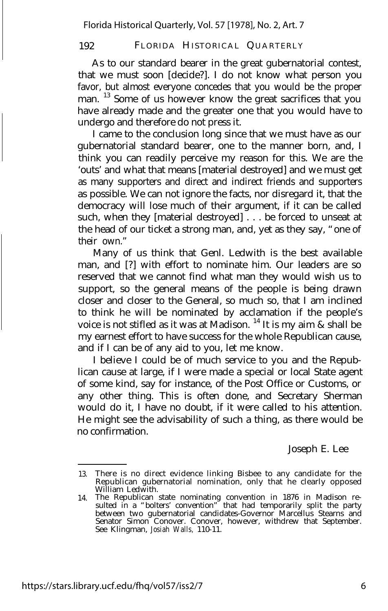#### 192 FLORIDA HISTORICAL QUARTERLY

As to our standard bearer in the great gubernatorial contest, that we must soon [decide?]. I do not know what person you favor, but almost everyone concedes that you would be the proper man. <sup>13</sup> Some of us however know the great sacrifices that you have already made and the greater one that you would have to undergo and therefore do not press it.

I came to the conclusion long since that we must have as our gubernatorial standard bearer, one to the manner born, and, I think you can readily perceive my reason for this. We are the 'outs' and what that means [material destroyed] and we must get as many supporters and direct and indirect friends and supporters as possible. We can not ignore the facts, nor disregard it, that the democracy will lose much of their argument, if it can be called such, when they [material destroyed] . . . be forced to unseat at the head of our ticket a strong man, and, yet as they say, "one of their own."

Many of us think that Genl. Ledwith is the best available man, and [?] with effort to nominate him. Our leaders are so reserved that we cannot find what man they would wish us to support, so the general means of the people is being drawn closer and closer to the General, so much so, that I am inclined to think he will be nominated by acclamation if the people's voice is not stifled as it was at Madison.  $^{14}$  It is my aim & shall be my earnest effort to have success for the whole Republican cause, and if I can be of any aid to you, let me know.

I believe I could be of much service to you and the Republican cause at large, if I were made a special or local State agent of some kind, say for instance, of the Post Office or Customs, or any other thing. This is often done, and Secretary Sherman would do it, I have no doubt, if it were called to his attention. He might see the advisability of such a thing, as there would be no confirmation.

Joseph E. Lee

<sup>13.</sup> There is no direct evidence linking Bisbee to any candidate for the Republican gubernatorial nomination, only that he clearly opposed William Ledwith.

<sup>14.</sup> The Republican state nominating convention in 1876 in Madison resulted in a "bolters' convention" that had temporarily split the party between two gubernatorial candidates-Governor Marcellus Stearns and Senator Simon Conover. Conover, however, withdrew that September. See Klingman, *Josiah Walls,* 110-11.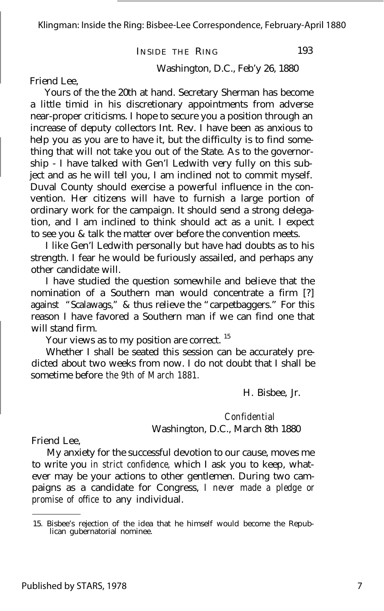#### Washington, D.C., Feb'y 26, 1880

Friend Lee,

Yours of the the 20th at hand. Secretary Sherman has become a little timid in his discretionary appointments from adverse near-proper criticisms. I hope to secure you a position through an increase of deputy collectors Int. Rev. I have been as anxious to help you as you are to have it, but the difficulty is to find something that will not take you out of the State. As to the governorship - I have talked with Gen'l Ledwith very fully on this subject and as he will tell you, I am inclined not to commit myself. Duval County should exercise a powerful influence in the convention. Her citizens will have to furnish a large portion of ordinary work for the campaign. It should send a strong delegation, and I am inclined to think should act as a unit. I expect to see you & talk the matter over before the convention meets.

I like Gen'l Ledwith personally but have had doubts as to his strength. I fear he would be furiously assailed, and perhaps any other candidate will.

I have studied the question somewhile and believe that the nomination of a Southern man would concentrate a firm [?] against "Scalawags," & thus relieve the "carpetbaggers." For this reason I have favored a Southern man if we can find one that will stand firm.

Your views as to my position are correct.<sup>15</sup>

Whether I shall be seated this session can be accurately predicted about two weeks from now. I do not doubt that I shall be sometime before *the 9th of March 1881.*

H. Bisbee, Jr.

*Confidential* Washington, D.C., March 8th 1880

Friend Lee,

My anxiety for the successful devotion to our cause, moves me to write you *in strict confidence,* which I ask you to keep, whatever may be your actions to other gentlemen. During two campaigns as a candidate for Congress, *I never made a pledge or promise of office* to any individual.

<sup>15.</sup> Bisbee's rejection of the idea that he himself would become the Republican gubernatorial nominee.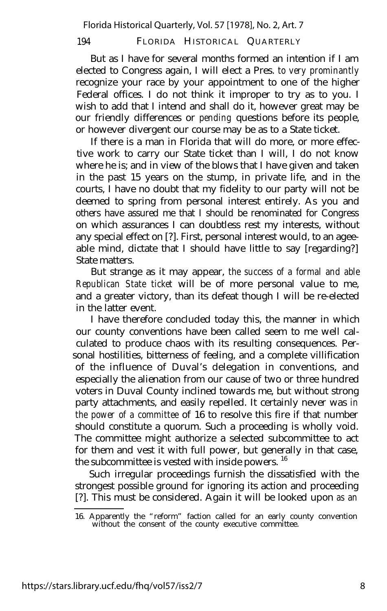But as I have for several months formed an intention if I am elected to Congress again, I will elect a Pres. *to very prominantly* recognize your race by your appointment to one of the higher Federal offices. I do not think it improper to try as to you. I wish to add that I intend and shall do it, however great may be our friendly differences or *pending* questions before its people, or however divergent our course may be as to a State ticket.

If there is a man in Florida that will do more, or more effective work to carry our State ticket than I will, I do not know where he is; and in view of the blows that I have given and taken in the past 15 years on the stump, in private life, and in the courts, I have no doubt that my fidelity to our party will not be deemed to spring from personal interest entirely. As you and others have assured me that I should be renominated for Congress on which assurances I can doubtless rest my interests, without any special effect on [?]. First, personal interest would, to an ageeable mind, dictate that I should have little to say [regarding?] State matters.

But strange as it may appear, *the success of a formal and able Republican State ticket* will be of more personal value to me, and a greater victory, than its defeat though I will be re-elected in the latter event.

I have therefore concluded today this, the manner in which our county conventions have been called seem to me well calculated to produce chaos with its resulting consequences. Personal hostilities, bitterness of feeling, and a complete villification of the influence of Duval's delegation in conventions, and especially the alienation from our cause of two or three hundred voters in Duval County inclined towards me, but without strong party attachments, and easily repelled. It certainly never was *in the power of a committee* of 16 to resolve this fire if that number should constitute a quorum. Such a proceeding is wholly void. The committee might authorize a selected subcommittee to act for them and vest it with full power, but generally in that case, the subcommittee is vested with inside powers.  $^{16}$ 

Such irregular proceedings furnish the dissatisfied with the strongest possible ground for ignoring its action and proceeding [?]. This must be considered. Again it will be looked upon *as an*

<sup>16.</sup> Apparently the "reform" faction called for an early county convention without the consent of the county executive committee.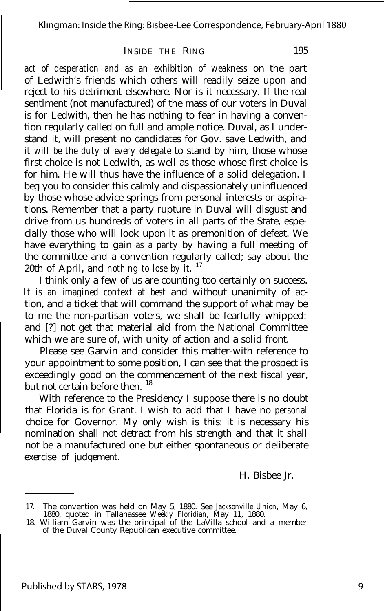#### INSIDE THE RING 195

*act of desperation and as an exhibition of weakness* on the part of Ledwith's friends which others will readily seize upon and reject to his detriment elsewhere. Nor is it necessary. If the real sentiment (not manufactured) of the mass of our voters in Duval is for Ledwith, then he has nothing to fear in having a convention regularly called on full and ample notice. Duval, as I understand it, will present no candidates for Gov. save Ledwith, and *it will be the duty of every delegate* to stand by him, those whose first choice is not Ledwith, as well as those whose first choice is for him. He will thus have the influence of a solid delegation. I beg you to consider this calmly and dispassionately uninfluenced by those whose advice springs from personal interests or aspirations. Remember that a party rupture in Duval will disgust and drive from us hundreds of voters in all parts of the State, especially those who will look upon it as premonition of defeat. We have everything to gain *as a party* by having a full meeting of the committee and a convention regularly called; say about the 20th of April, and *nothing to lose by it.* <sup>17</sup>

I think only a few of us are counting too certainly on success. *It is an imagined context at best* and without unanimity of action, and a ticket that will command the support of what may be to me the non-partisan voters, we shall be fearfully whipped: and [?] not get that material aid from the National Committee which we are sure of, with unity of action and a solid front.

Please see Garvin and consider this matter-with reference to your appointment to some position, I can see that the prospect is exceedingly good on the commencement of the next fiscal year, but not certain before then.<sup>18</sup>

With reference to the Presidency I suppose there is no doubt that Florida is for Grant. I wish to add that I have no *personal* choice for Governor. My only wish is this: it is necessary his nomination shall not detract from his strength and that it shall not be a manufactured one but either spontaneous or deliberate exercise of judgement.

H. Bisbee Jr.

<sup>17.</sup> The convention was held on May 5, 1880. See *Jacksonville Union,* May 6, 1880, quoted in Tallahassee *Weekly Floridian,* May 11, 1880.

<sup>18.</sup> William Garvin was the principal of the LaVilla school and a member of the Duval County Republican executive committee.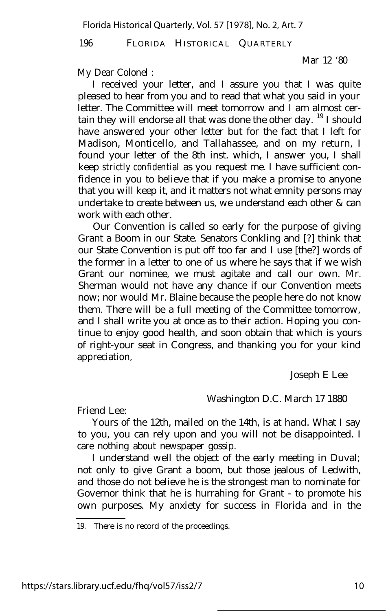196 FLORIDA HISTORICAL QUARTERLY

Mar 12 '80

My Dear Colonel :

I received your letter, and I assure you that I was quite pleased to hear from you and to read that what you said in your letter. The Committee will meet tomorrow and I am almost certain they will endorse all that was done the other day. <sup>19</sup> I should have answered your other letter but for the fact that I left for Madison, Monticello, and Tallahassee, and on my return, I found your letter of the 8th inst. which, I answer you, I shall keep *strictly confidential* as you request me. I have sufficient confidence in you to believe that if you make a promise to anyone that you will keep it, and it matters not what emnity persons may undertake to create between us, we understand each other & can work with each other.

Our Convention is called so early for the purpose of giving Grant a Boom in our State. Senators Conkling and [?] think that our State Convention is put off too far and I use [the?] words of the former in a letter to one of us where he says that if we wish Grant our nominee, we must agitate and call our own. Mr. Sherman would not have any chance if our Convention meets now; nor would Mr. Blaine because the people here do not know them. There will be a full meeting of the Committee tomorrow, and I shall write you at once as to their action. Hoping you continue to enjoy good health, and soon obtain that which is yours of right-your seat in Congress, and thanking you for your kind appreciation,

Joseph E Lee

#### Washington D.C. March 17 1880

Friend Lee:

Yours of the 12th, mailed on the 14th, is at hand. What I say to you, you can rely upon and you will not be disappointed. I care nothing about newspaper gossip.

I understand well the object of the early meeting in Duval; not only to give Grant a boom, but those jealous of Ledwith, and those do not believe he is the strongest man to nominate for Governor think that he is hurrahing for Grant - to promote his own purposes. My anxiety for success in Florida and in the

<sup>19.</sup> There is no record of the proceedings.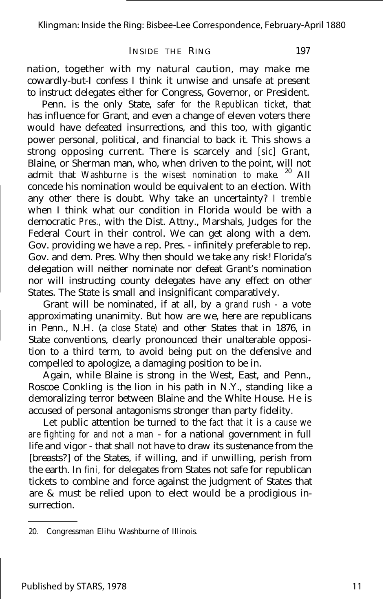nation, together with my natural caution, may make me cowardly-but-I confess I think it unwise and unsafe at present to instruct delegates either for Congress, Governor, or President.

Penn. is the only State, *safer for the Republican ticket,* that has influence for Grant, and even a change of eleven voters there would have defeated insurrections, and this too, with gigantic power personal, political, and financial to back it. This shows a strong opposing current. There is scarcely and *[sic]* Grant, Blaine, or Sherman man, who, when driven to the point, will not admit that *Washburne is the wisest nomination to make.* <sup>20</sup> All concede his nomination would be equivalent to an election. With any other there is doubt. Why take an uncertainty? *I tremble* when I think what our condition in Florida would be with a democratic *Pres.,* with the Dist. Attny., Marshals, Judges for the Federal Court in their control. We can get along with a dem. Gov. providing we have a rep. Pres. - infinitely preferable to rep. Gov. and dem. Pres. Why then should we take any risk! Florida's delegation will neither nominate nor defeat Grant's nomination nor will instructing county delegates have any effect on other States. The State is small and insignificant comparatively.

Grant will be nominated, if at all, by a *grand rush -* a vote approximating unanimity. But how are we, here are republicans in Penn., N.H. (a *close State)* and other States that in 1876, in State conventions, clearly pronounced their unalterable opposition to a third term, to avoid being put on the defensive and compelled to apologize, a damaging position to be in.

Again, while Blaine is strong in the West, East, and Penn., Roscoe Conkling is the lion in his path in N.Y., standing like a demoralizing terror between Blaine and the White House. He is accused of personal antagonisms stronger than party fidelity.

Let public attention be turned to the *fact that it is a cause we are fighting for and not a man* - for a national government in full life and vigor - that shall not have to draw its sustenance from the [breasts?] of the States, if willing, and if unwilling, perish from the earth. In *fini,* for delegates from States not safe for republican tickets to combine and force against the judgment of States that are & must be relied upon to elect would be a prodigious insurrection.

<sup>20.</sup> Congressman Elihu Washburne of Illinois.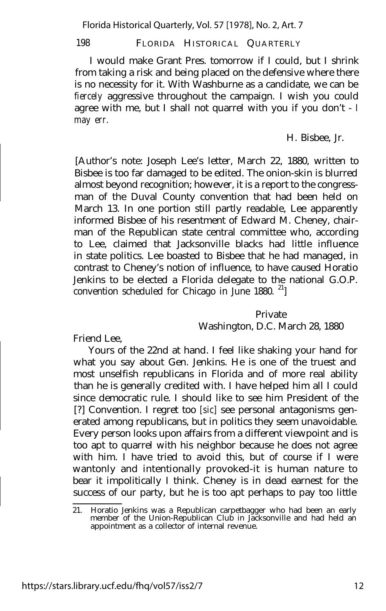# 198 FLORIDA HISTORICAL QUARTERLY

I would make Grant Pres. tomorrow if I could, but I shrink from taking a risk and being placed on the defensive where there is no necessity for it. With Washburne as a candidate, we can be *fiercely* aggressive throughout the campaign. I wish you could agree with me, but I shall not quarrel with you if you don't - *I may err.*

#### H. Bisbee, Jr.

[Author's note: Joseph Lee's letter, March 22, 1880, written to Bisbee is too far damaged to be edited. The onion-skin is blurred almost beyond recognition; however, it is a report to the congressman of the Duval County convention that had been held on March 13. In one portion still partly readable, Lee apparently informed Bisbee of his resentment of Edward M. Cheney, chairman of the Republican state central committee who, according to Lee, claimed that Jacksonville blacks had little influence in state politics. Lee boasted to Bisbee that he had managed, in contrast to Cheney's notion of influence, to have caused Horatio Jenkins to be elected a Florida delegate to the national G.O.P. convention scheduled for Chicago in June 1880.  $21$ ]

## Private Washington, D.C. March 28, 1880

Friend Lee,

Yours of the 22nd at hand. I feel like shaking your hand for what you say about Gen. Jenkins. He is one of the truest and most unselfish republicans in Florida and of more real ability than he is generally credited with. I have helped him all I could since democratic rule. I should like to see him President of the [?] Convention. I regret too *[sic]* see personal antagonisms generated among republicans, but in politics they seem unavoidable. Every person looks upon affairs from a different viewpoint and is too apt to quarrel with his neighbor because he does not agree with him. I have tried to avoid this, but of course if I were wantonly and intentionally provoked-it is human nature to bear it impolitically I think. Cheney is in dead earnest for the success of our party, but he is too apt perhaps to pay too little

<sup>21.</sup> Horatio Jenkins was a Republican carpetbagger who had been an early member of the Union-Republican Club in Jacksonville and had held an appointment as a collector of internal revenue.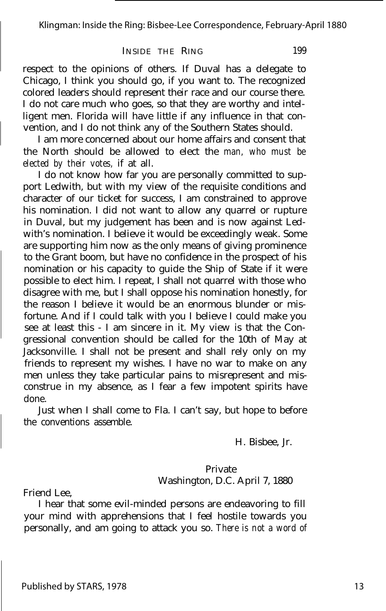respect to the opinions of others. If Duval has a delegate to Chicago, I think you should go, if you want to. The recognized colored leaders should represent their race and our course there. I do not care much who goes, so that they are worthy and intelligent men. Florida will have little if any influence in that convention, and I do not think any of the Southern States should.

I am more concerned about our home affairs and consent that the North should be allowed to elect the *man, who must be elected by their votes,* if at all.

I do not know how far you are personally committed to support Ledwith, but with my view of the requisite conditions and character of our ticket for success, I am constrained to approve his nomination. I did not want to allow any quarrel or rupture in Duval, but my judgement has been and is now against Ledwith's nomination. I believe it would be exceedingly weak. Some are supporting him now as the only means of giving prominence to the Grant boom, but have no confidence in the prospect of his nomination or his capacity to guide the Ship of State if it were possible to elect him. I repeat, I shall not quarrel with those who disagree with me, but I shall oppose his nomination honestly, for the reason I believe it would be an enormous blunder or misfortune. And if I could talk with you I believe I could make you see at least this - I am sincere in it. My view is that the Congressional convention should be called for the 10th of May at Jacksonville. I shall not be present and shall rely only on my friends to represent my wishes. I have no war to make on any men unless they take particular pains to misrepresent and misconstrue in my absence, as I fear a few impotent spirits have done.

Just when I shall come to Fla. I can't say, but hope to before the conventions assemble.

H. Bisbee, Jr.

#### Private Washington, D.C. April 7, 1880

Friend Lee,

I hear that some evil-minded persons are endeavoring to fill your mind with apprehensions that I feel hostile towards you personally, and am going to attack you so. *There is not a word of*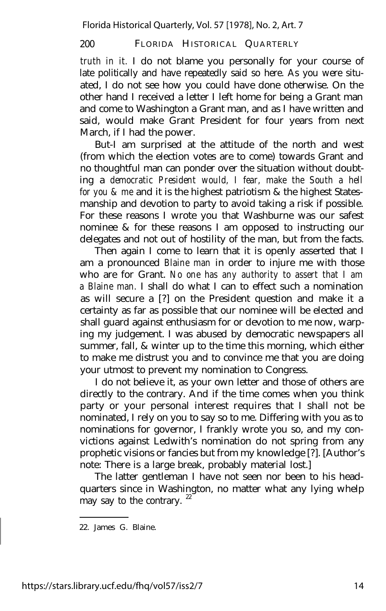*truth in it.* I do not blame you personally for your course of late politically and have repeatedly said so here. As you were situated, I do not see how you could have done otherwise. On the other hand I received a letter I left home for being a Grant man and come to Washington a Grant man, and as I have written and said, would make Grant President for four years from next March, if I had the power.

But-I am surprised at the attitude of the north and west (from which the election votes are to come) towards Grant and no thoughtful man can ponder over the situation without doubting a *democratic President would, I fear, make the South a hell for you & me* and it is the highest patriotism & the highest Statesmanship and devotion to party to avoid taking a risk if possible. For these reasons I wrote you that Washburne was our safest nominee & for these reasons I am opposed to instructing our delegates and not out of hostility of the man, but from the facts.

Then again I come to learn that it is openly asserted that I am a pronounced *Blaine man* in order to injure me with those who are for Grant. *No one has any authority to assert that I am a Blaine man.* I shall do what I can to effect such a nomination as will secure a [?] on the President question and make it a certainty as far as possible that our nominee will be elected and shall guard against enthusiasm for or devotion to me now, warping my judgement. I was abused by democratic newspapers all summer, fall, & winter up to the time this morning, which either to make me distrust you and to convince me that you are doing your utmost to prevent my nomination to Congress.

I do not believe it, as your own letter and those of others are directly to the contrary. And if the time comes when you think party or your personal interest requires that I shall not be nominated, I rely on you to say so to me. Differing with you as to nominations for governor, I frankly wrote you so, and my convictions against Ledwith's nomination do not spring from any prophetic visions or fancies but from my knowledge [?]. [Author's note: There is a large break, probably material lost.]

The latter gentleman I have not seen nor been to his headquarters since in Washington, no matter what any lying whelp may say to the contrary.  $22^{\circ}$ 

<sup>22.</sup> James G. Blaine.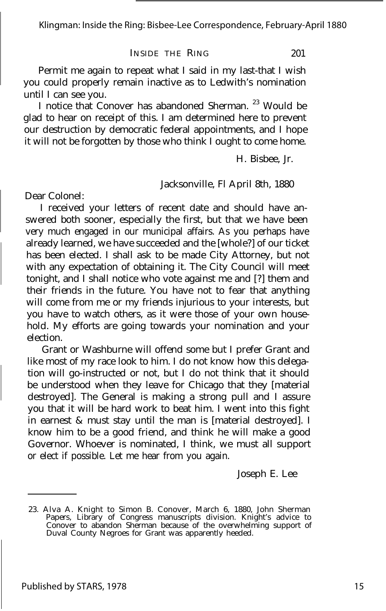Permit me again to repeat what I said in my last-that I wish you could properly remain inactive as to Ledwith's nomination until I can see you.

I notice that Conover has abandoned Sherman.<sup>23</sup> Would be glad to hear on receipt of this. I am determined here to prevent our destruction by democratic federal appointments, and I hope it will not be forgotten by those who think I ought to come home.

H. Bisbee, Jr.

Jacksonville, Fl April 8th, 1880

Dear Colonel:

I received your letters of recent date and should have answered both sooner, especially the first, but that we have been very much engaged in our municipal affairs. As you perhaps have already learned, we have succeeded and the [whole?] of our ticket has been elected. I shall ask to be made City Attorney, but not with any expectation of obtaining it. The City Council will meet tonight, and I shall notice who vote against me and [?] them and their friends in the future. You have not to fear that anything will come from me or my friends injurious to your interests, but you have to watch others, as it were those of your own household. My efforts are going towards your nomination and your election.

Grant or Washburne will offend some but I prefer Grant and like most of my race look to him. I do not know how this delegation will go-instructed or not, but I do not think that it should be understood when they leave for Chicago that they [material destroyed]. The General is making a strong pull and I assure you that it will be hard work to beat him. I went into this fight in earnest & must stay until the man is [material destroyed]. I know him to be a good friend, and think he will make a good Governor. Whoever is nominated, I think, we must all support or elect if possible. Let me hear from you again.

Joseph E. Lee

<sup>23.</sup> Alva A. Knight to Simon B. Conover, March 6, 1880, John Sherman Papers, Library of Congress manuscripts division. Knight's advice to Conover to abandon Sherman because of the overwhelming support of Duval County Negroes for Grant was apparently heeded.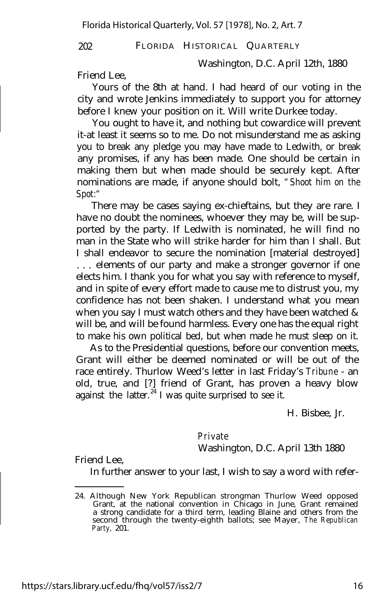Washington, D.C. April 12th, 1880

Friend Lee,

Yours of the 8th at hand. I had heard of our voting in the city and wrote Jenkins immediately to support you for attorney before I knew your position on it. Will write Durkee today.

You ought to have it, and nothing but cowardice will prevent it-at least it seems so to me. Do not misunderstand me as asking you to break any pledge you may have made to Ledwith, or break any promises, if any has been made. One should be certain in making them but when made should be securely kept. After nominations are made, if anyone should bolt, *"Shoot him on the Spot:"*

There may be cases saying ex-chieftains, but they are rare. I have no doubt the nominees, whoever they may be, will be supported by the party. If Ledwith is nominated, he will find no man in the State who will strike harder for him than I shall. But I shall endeavor to secure the nomination [material destroyed] . . . elements of our party and make a stronger governor if one elects him. I thank you for what you say with reference to myself, and in spite of every effort made to cause me to distrust you, my confidence has not been shaken. I understand what you mean when you say I must watch others and they have been watched & will be, and will be found harmless. Every one has the equal right to make his own political bed, but when made he must sleep on it.

As to the Presidential questions, before our convention meets, Grant will either be deemed nominated or will be out of the race entirely. Thurlow Weed's letter in last Friday's *Tribune* - an old, true, and [?] friend of Grant, has proven a heavy blow against the latter.<sup>24</sup> I was quite surprised to see it.

H. Bisbee, Jr.

#### *Private*

#### Washington, D.C. April 13th 1880

Friend Lee,

In further answer to your last, I wish to say a word with refer-

<sup>24.</sup> Although New York Republican strongman Thurlow Weed opposed Grant, at the national convention in Chicago in June, Grant remained a strong candidate for a third term, leading Blaine and others from the second through the twenty-eighth ballots; see Mayer, *The Republican Party,* 201.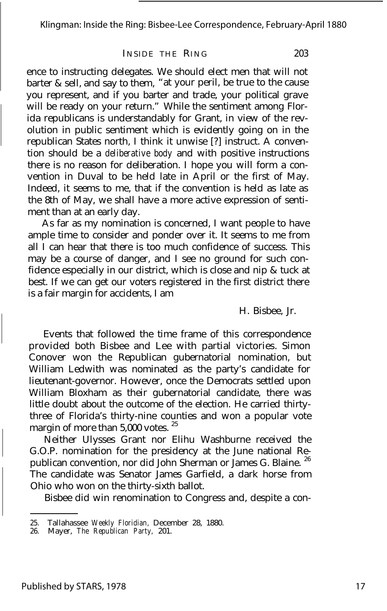#### INSIDE THE RING 203

ence to instructing delegates. We should elect men that will not barter & sell, and say to them, "at your peril, be true to the cause you represent, and if you barter and trade, your political grave will be ready on your return." While the sentiment among Florida republicans is understandably for Grant, in view of the revolution in public sentiment which is evidently going on in the republican States north, I think it unwise [?] instruct. A convention should be a *deliberative body* and with positive instructions there is no reason for deliberation. I hope you will form a convention in Duval to be held late in April or the first of May. Indeed, it seems to me, that if the convention is held as late as the 8th of May, we shall have a more active expression of sentiment than at an early day.

As far as my nomination is concerned, I want people to have ample time to consider and ponder over it. It seems to me from all I can hear that there is too much confidence of success. This may be a course of danger, and I see no ground for such confidence especially in our district, which is close and nip & tuck at best. If we can get our voters registered in the first district there is a fair margin for accidents, I am

#### H. Bisbee, Jr.

Events that followed the time frame of this correspondence provided both Bisbee and Lee with partial victories. Simon Conover won the Republican gubernatorial nomination, but William Ledwith was nominated as the party's candidate for lieutenant-governor. However, once the Democrats settled upon William Bloxham as their gubernatorial candidate, there was little doubt about the outcome of the election. He carried thirtythree of Florida's thirty-nine counties and won a popular vote margin of more than  $5,000$  votes.  $25$ 

Neither Ulysses Grant nor Elihu Washburne received the G.O.P. nomination for the presidency at the June national Republican convention, nor did John Sherman or James G. Blaine. <sup>26</sup> The candidate was Senator James Garfield, a dark horse from Ohio who won on the thirty-sixth ballot.

Bisbee did win renomination to Congress and, despite a con-

<sup>25.</sup> Tallahassee *Weekly Floridian,* December 28, 1880.

<sup>26.</sup> Mayer, *The Republican Party,* 201.